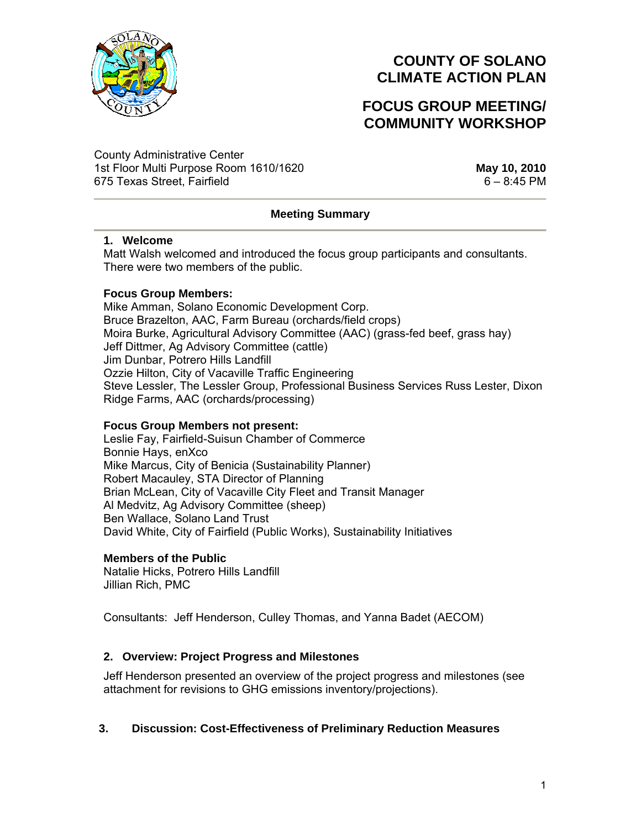

## **FOCUS GROUP MEETING/ COMMUNITY WORKSHOP**

County Administrative Center 1st Floor Multi Purpose Room 1610/1620 **May 10, 2010** 675 Texas Street, Fairfield 6 – 8:45 PM

## **Meeting Summary**

#### **1. Welcome**

Matt Walsh welcomed and introduced the focus group participants and consultants. There were two members of the public.

### **Focus Group Members:**

Mike Amman, Solano Economic Development Corp. Bruce Brazelton, AAC, Farm Bureau (orchards/field crops) Moira Burke, Agricultural Advisory Committee (AAC) (grass-fed beef, grass hay) Jeff Dittmer, Ag Advisory Committee (cattle) Jim Dunbar, Potrero Hills Landfill Ozzie Hilton, City of Vacaville Traffic Engineering Steve Lessler, The Lessler Group, Professional Business Services Russ Lester, Dixon Ridge Farms, AAC (orchards/processing)

### **Focus Group Members not present:**

Leslie Fay, Fairfield-Suisun Chamber of Commerce Bonnie Hays, enXco Mike Marcus, City of Benicia (Sustainability Planner) Robert Macauley, STA Director of Planning Brian McLean, City of Vacaville City Fleet and Transit Manager Al Medvitz, Ag Advisory Committee (sheep) Ben Wallace, Solano Land Trust David White, City of Fairfield (Public Works), Sustainability Initiatives

#### **Members of the Public**

Natalie Hicks, Potrero Hills Landfill Jillian Rich, PMC

Consultants: Jeff Henderson, Culley Thomas, and Yanna Badet (AECOM)

### **2. Overview: Project Progress and Milestones**

Jeff Henderson presented an overview of the project progress and milestones (see attachment for revisions to GHG emissions inventory/projections).

### **3. Discussion: Cost-Effectiveness of Preliminary Reduction Measures**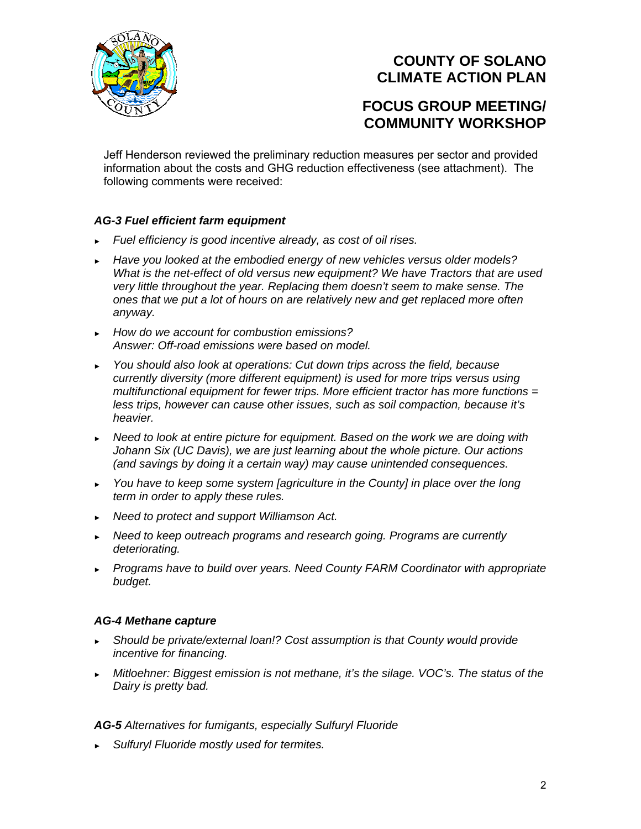

## **FOCUS GROUP MEETING/ COMMUNITY WORKSHOP**

Jeff Henderson reviewed the preliminary reduction measures per sector and provided information about the costs and GHG reduction effectiveness (see attachment). The following comments were received:

## *AG-3 Fuel efficient farm equipment*

- ► *Fuel efficiency is good incentive already, as cost of oil rises.*
- ► *Have you looked at the embodied energy of new vehicles versus older models? What is the net-effect of old versus new equipment? We have Tractors that are used very little throughout the year. Replacing them doesn't seem to make sense. The ones that we put a lot of hours on are relatively new and get replaced more often anyway.*
- ► *How do we account for combustion emissions? Answer: Off-road emissions were based on model.*
- ► *You should also look at operations: Cut down trips across the field, because currently diversity (more different equipment) is used for more trips versus using multifunctional equipment for fewer trips. More efficient tractor has more functions = less trips, however can cause other issues, such as soil compaction, because it's heavier.*
- ► *Need to look at entire picture for equipment. Based on the work we are doing with Johann Six (UC Davis), we are just learning about the whole picture. Our actions (and savings by doing it a certain way) may cause unintended consequences.*
- ► *You have to keep some system [agriculture in the County] in place over the long term in order to apply these rules.*
- ► *Need to protect and support Williamson Act.*
- ► *Need to keep outreach programs and research going. Programs are currently deteriorating.*
- ► *Programs have to build over years. Need County FARM Coordinator with appropriate budget.*

## *AG-4 Methane capture*

- ► *Should be private/external loan!? Cost assumption is that County would provide incentive for financing.*
- ► *Mitloehner: Biggest emission is not methane, it's the silage. VOC's. The status of the Dairy is pretty bad.*

## *AG-5 Alternatives for fumigants, especially Sulfuryl Fluoride*

► *Sulfuryl Fluoride mostly used for termites.*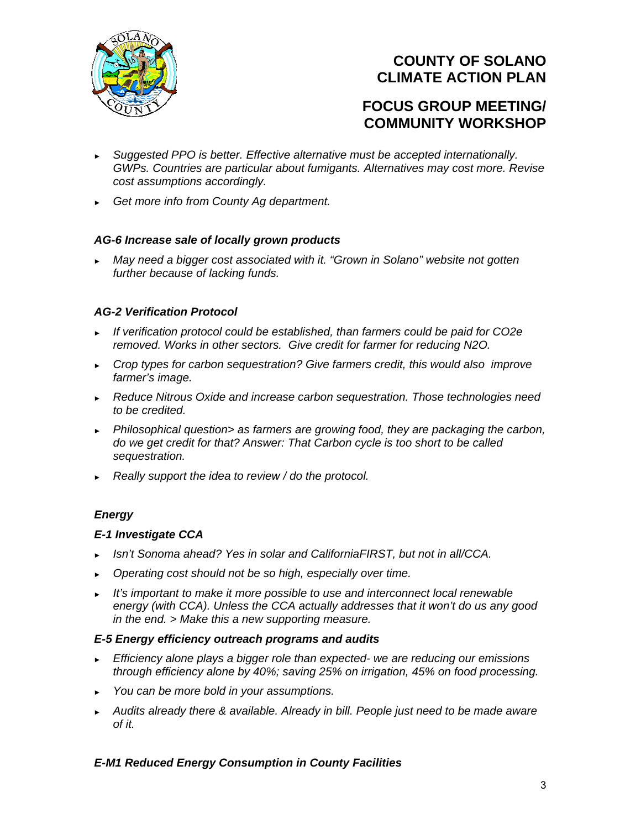

## **FOCUS GROUP MEETING/ COMMUNITY WORKSHOP**

- ► *Suggested PPO is better. Effective alternative must be accepted internationally. GWPs. Countries are particular about fumigants. Alternatives may cost more. Revise cost assumptions accordingly.*
- ► *Get more info from County Ag department.*

## *AG-6 Increase sale of locally grown products*

► *May need a bigger cost associated with it. "Grown in Solano" website not gotten further because of lacking funds.* 

### *AG-2 Verification Protocol*

- ► *If verification protocol could be established, than farmers could be paid for CO2e removed. Works in other sectors. Give credit for farmer for reducing N2O.*
- ► *Crop types for carbon sequestration? Give farmers credit, this would also improve farmer's image.*
- ► *Reduce Nitrous Oxide and increase carbon sequestration. Those technologies need to be credited.*
- ► *Philosophical question> as farmers are growing food, they are packaging the carbon, do we get credit for that? Answer: That Carbon cycle is too short to be called sequestration.*
- ► *Really support the idea to review / do the protocol.*

## *Energy*

### *E-1 Investigate CCA*

- ► *Isn't Sonoma ahead? Yes in solar and CaliforniaFIRST, but not in all/CCA.*
- ► *Operating cost should not be so high, especially over time.*
- ► *It's important to make it more possible to use and interconnect local renewable energy (with CCA). Unless the CCA actually addresses that it won't do us any good in the end. > Make this a new supporting measure.*

### *E-5 Energy efficiency outreach programs and audits*

- ► *Efficiency alone plays a bigger role than expected- we are reducing our emissions through efficiency alone by 40%; saving 25% on irrigation, 45% on food processing.*
- ► *You can be more bold in your assumptions.*
- ► *Audits already there & available. Already in bill. People just need to be made aware of it.*

### *E-M1 Reduced Energy Consumption in County Facilities*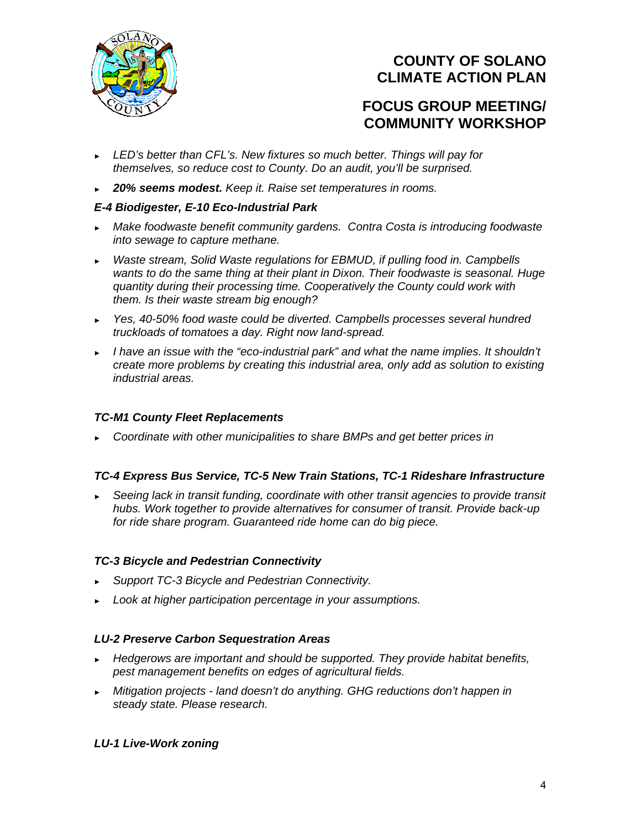

## **FOCUS GROUP MEETING/ COMMUNITY WORKSHOP**

- ► *LED's better than CFL's. New fixtures so much better. Things will pay for themselves, so reduce cost to County. Do an audit, you'll be surprised.*
- ► *20% seems modest. Keep it. Raise set temperatures in rooms.*

### *E-4 Biodigester, E-10 Eco-Industrial Park*

- ► *Make foodwaste benefit community gardens. Contra Costa is introducing foodwaste into sewage to capture methane.*
- ► *Waste stream, Solid Waste regulations for EBMUD, if pulling food in. Campbells wants to do the same thing at their plant in Dixon. Their foodwaste is seasonal. Huge quantity during their processing time. Cooperatively the County could work with them. Is their waste stream big enough?*
- ► *Yes, 40-50% food waste could be diverted. Campbells processes several hundred truckloads of tomatoes a day. Right now land-spread.*
- ► *I have an issue with the "eco-industrial park" and what the name implies. It shouldn't create more problems by creating this industrial area, only add as solution to existing industrial areas.*

### *TC-M1 County Fleet Replacements*

► *Coordinate with other municipalities to share BMPs and get better prices in* 

### *TC-4 Express Bus Service, TC-5 New Train Stations, TC-1 Rideshare Infrastructure*

► *Seeing lack in transit funding, coordinate with other transit agencies to provide transit hubs. Work together to provide alternatives for consumer of transit. Provide back-up for ride share program. Guaranteed ride home can do big piece.* 

### *TC-3 Bicycle and Pedestrian Connectivity*

- ► *Support TC-3 Bicycle and Pedestrian Connectivity.*
- ► *Look at higher participation percentage in your assumptions.*

### *LU-2 Preserve Carbon Sequestration Areas*

- ► *Hedgerows are important and should be supported. They provide habitat benefits, pest management benefits on edges of agricultural fields.*
- ► *Mitigation projects land doesn't do anything. GHG reductions don't happen in steady state. Please research.*

### *LU-1 Live-Work zoning*